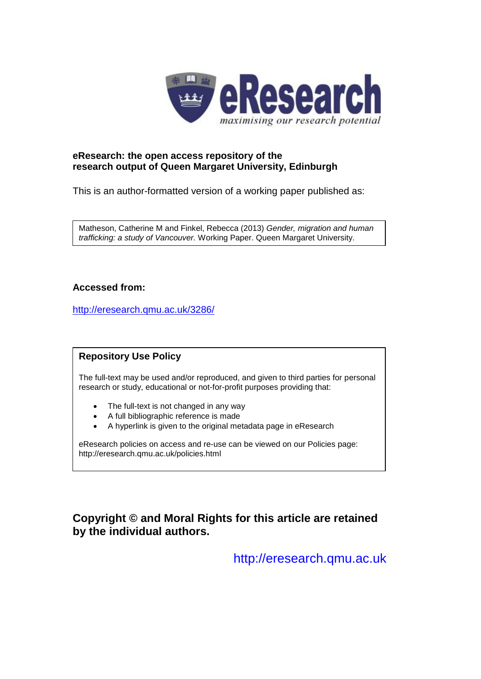

## **eResearch: the open access repository of the research output of Queen Margaret University, Edinburgh**

This is an author-formatted version of a working paper published as:

Matheson, Catherine M and Finkel, Rebecca (2013) *Gender, migration and human trafficking: a study of Vancouver.* Working Paper. Queen Margaret University.

### **Accessed from:**

<http://eresearch.qmu.ac.uk/3286/>

## **Repository Use Policy**

The full-text may be used and/or reproduced, and given to third parties for personal research or study, educational or not-for-profit purposes providing that:

- The full-text is not changed in any way
- A full bibliographic reference is made
- A hyperlink is given to the original metadata page in eResearch

eResearch policies on access and re-use can be viewed on our Policies page: <http://eresearch.qmu.ac.uk/policies.html>

# **Copyright © and Moral Rights for this article are retained by the individual authors.**

[http://eresearch.qmu.ac.uk](http://eresearch.qmu.ac.uk/)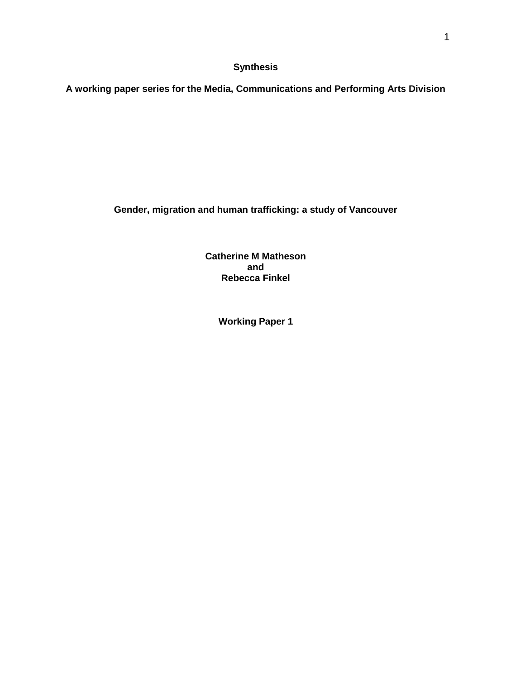**Synthesis**

**A working paper series for the Media, Communications and Performing Arts Division**

**Gender, migration and human trafficking: a study of Vancouver**

**Catherine M Matheson and Rebecca Finkel**

**Working Paper 1**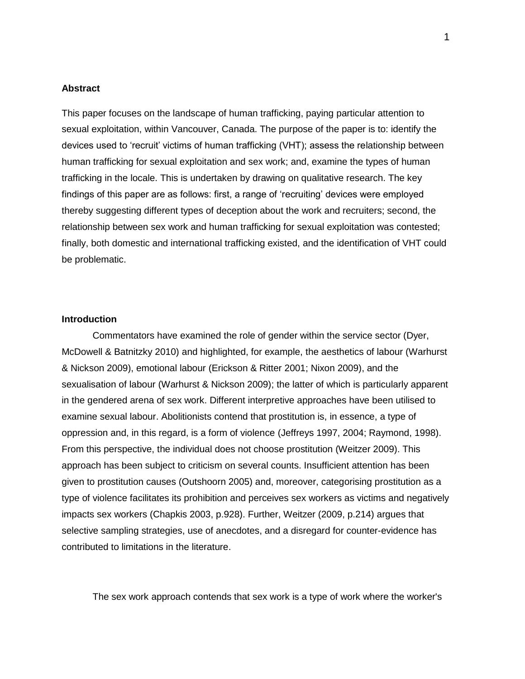#### **Abstract**

This paper focuses on the landscape of human trafficking, paying particular attention to sexual exploitation, within Vancouver, Canada. The purpose of the paper is to: identify the devices used to 'recruit' victims of human trafficking (VHT); assess the relationship between human trafficking for sexual exploitation and sex work; and, examine the types of human trafficking in the locale. This is undertaken by drawing on qualitative research. The key findings of this paper are as follows: first, a range of 'recruiting' devices were employed thereby suggesting different types of deception about the work and recruiters; second, the relationship between sex work and human trafficking for sexual exploitation was contested; finally, both domestic and international trafficking existed, and the identification of VHT could be problematic.

#### **Introduction**

Commentators have examined the role of gender within the service sector (Dyer, McDowell & Batnitzky 2010) and highlighted, for example, the aesthetics of labour (Warhurst & Nickson 2009), emotional labour (Erickson & Ritter 2001; Nixon 2009), and the sexualisation of labour (Warhurst & Nickson 2009); the latter of which is particularly apparent in the gendered arena of sex work. Different interpretive approaches have been utilised to examine sexual labour. Abolitionists contend that prostitution is, in essence, a type of oppression and, in this regard, is a form of violence (Jeffreys 1997, 2004; Raymond, 1998). From this perspective, the individual does not choose prostitution (Weitzer 2009). This approach has been subject to criticism on several counts. Insufficient attention has been given to prostitution causes (Outshoorn 2005) and, moreover, categorising prostitution as a type of violence facilitates its prohibition and perceives sex workers as victims and negatively impacts sex workers (Chapkis 2003, p.928). Further, Weitzer (2009, p.214) argues that selective sampling strategies, use of anecdotes, and a disregard for counter-evidence has contributed to limitations in the literature.

The sex work approach contends that sex work is a type of work where the worker's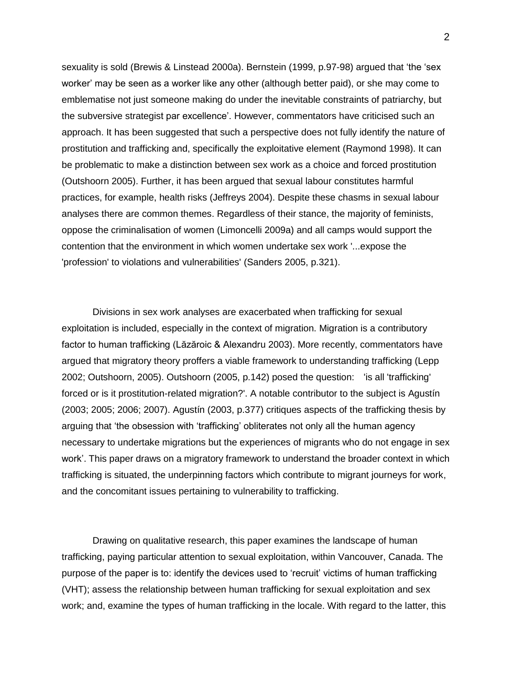sexuality is sold (Brewis & Linstead 2000a). Bernstein (1999, p.97-98) argued that 'the 'sex worker' may be seen as a worker like any other (although better paid), or she may come to emblematise not just someone making do under the inevitable constraints of patriarchy, but the subversive strategist par excellence'. However, commentators have criticised such an approach. It has been suggested that such a perspective does not fully identify the nature of prostitution and trafficking and, specifically the exploitative element (Raymond 1998). It can be problematic to make a distinction between sex work as a choice and forced prostitution (Outshoorn 2005). Further, it has been argued that sexual labour constitutes harmful practices, for example, health risks (Jeffreys 2004). Despite these chasms in sexual labour analyses there are common themes. Regardless of their stance, the majority of feminists, oppose the criminalisation of women (Limoncelli 2009a) and all camps would support the contention that the environment in which women undertake sex work '...expose the 'profession' to violations and vulnerabilities' (Sanders 2005, p.321).

Divisions in sex work analyses are exacerbated when trafficking for sexual exploitation is included, especially in the context of migration. Migration is a contributory factor to human trafficking (Lăzăroic & Alexandru 2003). More recently, commentators have argued that migratory theory proffers a viable framework to understanding trafficking (Lepp 2002; Outshoorn, 2005). Outshoorn (2005, p.142) posed the question: 'is all 'trafficking' forced or is it prostitution-related migration?'. A notable contributor to the subject is Agustín (2003; 2005; 2006; 2007). Agustín (2003, p.377) critiques aspects of the trafficking thesis by arguing that 'the obsession with 'trafficking' obliterates not only all the human agency necessary to undertake migrations but the experiences of migrants who do not engage in sex work'. This paper draws on a migratory framework to understand the broader context in which trafficking is situated, the underpinning factors which contribute to migrant journeys for work, and the concomitant issues pertaining to vulnerability to trafficking.

Drawing on qualitative research, this paper examines the landscape of human trafficking, paying particular attention to sexual exploitation, within Vancouver, Canada. The purpose of the paper is to: identify the devices used to 'recruit' victims of human trafficking (VHT); assess the relationship between human trafficking for sexual exploitation and sex work; and, examine the types of human trafficking in the locale. With regard to the latter, this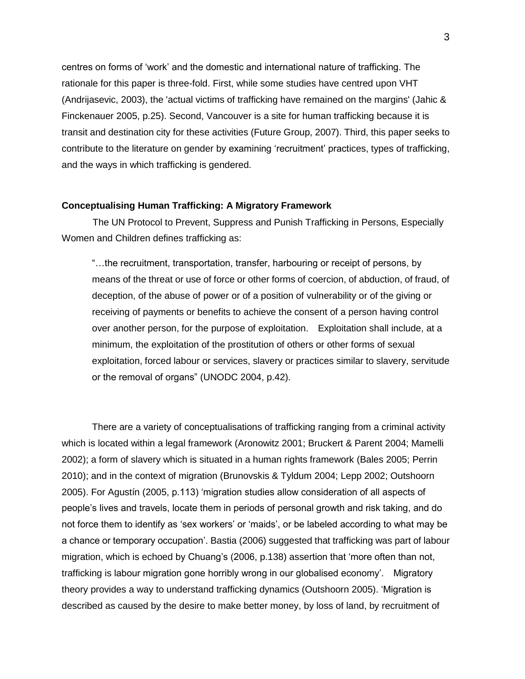centres on forms of 'work' and the domestic and international nature of trafficking. The rationale for this paper is three-fold. First, while some studies have centred upon VHT (Andrijasevic, 2003), the 'actual victims of trafficking have remained on the margins' (Jahic & Finckenauer 2005, p.25). Second, Vancouver is a site for human trafficking because it is transit and destination city for these activities (Future Group, 2007). Third, this paper seeks to contribute to the literature on gender by examining 'recruitment' practices, types of trafficking, and the ways in which trafficking is gendered.

#### **Conceptualising Human Trafficking: A Migratory Framework**

The UN Protocol to Prevent, Suppress and Punish Trafficking in Persons, Especially Women and Children defines trafficking as:

"…the recruitment, transportation, transfer, harbouring or receipt of persons, by means of the threat or use of force or other forms of coercion, of abduction, of fraud, of deception, of the abuse of power or of a position of vulnerability or of the giving or receiving of payments or benefits to achieve the consent of a person having control over another person, for the purpose of exploitation. Exploitation shall include, at a minimum, the exploitation of the prostitution of others or other forms of sexual exploitation, forced labour or services, slavery or practices similar to slavery, servitude or the removal of organs" (UNODC 2004, p.42).

There are a variety of conceptualisations of trafficking ranging from a criminal activity which is located within a legal framework (Aronowitz 2001; Bruckert & Parent 2004; Mamelli 2002); a form of slavery which is situated in a human rights framework (Bales 2005; Perrin 2010); and in the context of migration (Brunovskis & Tyldum 2004; Lepp 2002; Outshoorn 2005). For Agustín (2005, p.113) 'migration studies allow consideration of all aspects of people's lives and travels, locate them in periods of personal growth and risk taking, and do not force them to identify as 'sex workers' or 'maids', or be labeled according to what may be a chance or temporary occupation'. Bastia (2006) suggested that trafficking was part of labour migration, which is echoed by Chuang's (2006, p.138) assertion that 'more often than not, trafficking is labour migration gone horribly wrong in our globalised economy'. Migratory theory provides a way to understand trafficking dynamics (Outshoorn 2005). 'Migration is described as caused by the desire to make better money, by loss of land, by recruitment of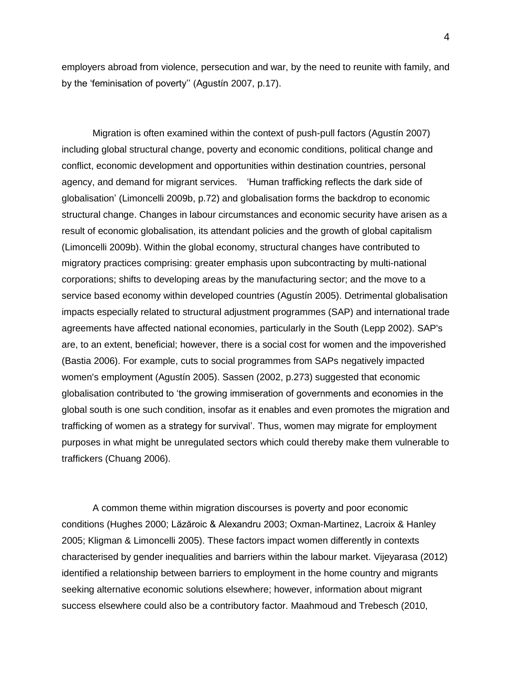employers abroad from violence, persecution and war, by the need to reunite with family, and by the 'feminisation of poverty'' (Agustín 2007, p.17).

Migration is often examined within the context of push-pull factors (Agustín 2007) including global structural change, poverty and economic conditions, political change and conflict, economic development and opportunities within destination countries, personal agency, and demand for migrant services. 'Human trafficking reflects the dark side of globalisation' (Limoncelli 2009b, p.72) and globalisation forms the backdrop to economic structural change. Changes in labour circumstances and economic security have arisen as a result of economic globalisation, its attendant policies and the growth of global capitalism (Limoncelli 2009b). Within the global economy, structural changes have contributed to migratory practices comprising: greater emphasis upon subcontracting by multi-national corporations; shifts to developing areas by the manufacturing sector; and the move to a service based economy within developed countries (Agustín 2005). Detrimental globalisation impacts especially related to structural adjustment programmes (SAP) and international trade agreements have affected national economies, particularly in the South (Lepp 2002). SAP's are, to an extent, beneficial; however, there is a social cost for women and the impoverished (Bastia 2006). For example, cuts to social programmes from SAPs negatively impacted women's employment (Agustín 2005). Sassen (2002, p.273) suggested that economic globalisation contributed to 'the growing immiseration of governments and economies in the global south is one such condition, insofar as it enables and even promotes the migration and trafficking of women as a strategy for survival'. Thus, women may migrate for employment purposes in what might be unregulated sectors which could thereby make them vulnerable to traffickers (Chuang 2006).

A common theme within migration discourses is poverty and poor economic conditions (Hughes 2000; Lăzăroic & Alexandru 2003; Oxman-Martinez, Lacroix & Hanley 2005; Kligman & Limoncelli 2005). These factors impact women differently in contexts characterised by gender inequalities and barriers within the labour market. Vijeyarasa (2012) identified a relationship between barriers to employment in the home country and migrants seeking alternative economic solutions elsewhere; however, information about migrant success elsewhere could also be a contributory factor. Maahmoud and Trebesch (2010,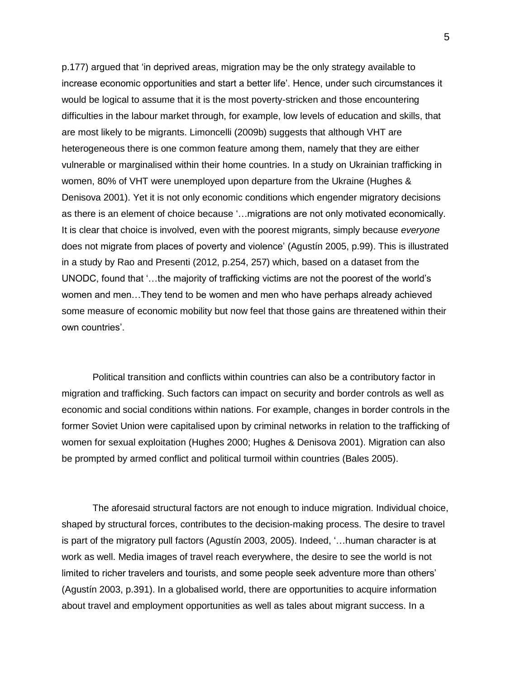p.177) argued that 'in deprived areas, migration may be the only strategy available to increase economic opportunities and start a better life'. Hence, under such circumstances it would be logical to assume that it is the most poverty-stricken and those encountering difficulties in the labour market through, for example, low levels of education and skills, that are most likely to be migrants. Limoncelli (2009b) suggests that although VHT are heterogeneous there is one common feature among them, namely that they are either vulnerable or marginalised within their home countries. In a study on Ukrainian trafficking in women, 80% of VHT were unemployed upon departure from the Ukraine (Hughes & Denisova 2001). Yet it is not only economic conditions which engender migratory decisions as there is an element of choice because '…migrations are not only motivated economically. It is clear that choice is involved, even with the poorest migrants, simply because *everyone* does not migrate from places of poverty and violence' (Agustín 2005, p.99). This is illustrated in a study by Rao and Presenti (2012, p.254, 257) which, based on a dataset from the UNODC, found that '…the majority of trafficking victims are not the poorest of the world's women and men…They tend to be women and men who have perhaps already achieved some measure of economic mobility but now feel that those gains are threatened within their own countries'.

Political transition and conflicts within countries can also be a contributory factor in migration and trafficking. Such factors can impact on security and border controls as well as economic and social conditions within nations. For example, changes in border controls in the former Soviet Union were capitalised upon by criminal networks in relation to the trafficking of women for sexual exploitation (Hughes 2000; Hughes & Denisova 2001). Migration can also be prompted by armed conflict and political turmoil within countries (Bales 2005).

The aforesaid structural factors are not enough to induce migration. Individual choice, shaped by structural forces, contributes to the decision-making process. The desire to travel is part of the migratory pull factors (Agustín 2003, 2005). Indeed, '…human character is at work as well. Media images of travel reach everywhere, the desire to see the world is not limited to richer travelers and tourists, and some people seek adventure more than others' (Agustín 2003, p.391). In a globalised world, there are opportunities to acquire information about travel and employment opportunities as well as tales about migrant success. In a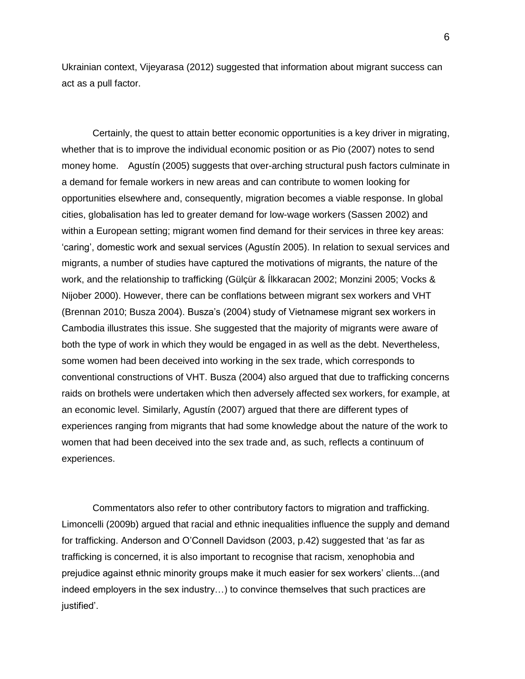Ukrainian context, Vijeyarasa (2012) suggested that information about migrant success can act as a pull factor.

Certainly, the quest to attain better economic opportunities is a key driver in migrating, whether that is to improve the individual economic position or as Pio (2007) notes to send money home. Agustín (2005) suggests that over-arching structural push factors culminate in a demand for female workers in new areas and can contribute to women looking for opportunities elsewhere and, consequently, migration becomes a viable response. In global cities, globalisation has led to greater demand for low-wage workers (Sassen 2002) and within a European setting; migrant women find demand for their services in three key areas: 'caring', domestic work and sexual services (Agustín 2005). In relation to sexual services and migrants, a number of studies have captured the motivations of migrants, the nature of the work, and the relationship to trafficking (Gülçür & Ílkkaracan 2002; Monzini 2005; Vocks & Nijober 2000). However, there can be conflations between migrant sex workers and VHT (Brennan 2010; Busza 2004). Busza's (2004) study of Vietnamese migrant sex workers in Cambodia illustrates this issue. She suggested that the majority of migrants were aware of both the type of work in which they would be engaged in as well as the debt. Nevertheless, some women had been deceived into working in the sex trade, which corresponds to conventional constructions of VHT. Busza (2004) also argued that due to trafficking concerns raids on brothels were undertaken which then adversely affected sex workers, for example, at an economic level. Similarly, Agustín (2007) argued that there are different types of experiences ranging from migrants that had some knowledge about the nature of the work to women that had been deceived into the sex trade and, as such, reflects a continuum of experiences.

Commentators also refer to other contributory factors to migration and trafficking. Limoncelli (2009b) argued that racial and ethnic inequalities influence the supply and demand for trafficking. Anderson and O'Connell Davidson (2003, p.42) suggested that 'as far as trafficking is concerned, it is also important to recognise that racism, xenophobia and prejudice against ethnic minority groups make it much easier for sex workers' clients...(and indeed employers in the sex industry…) to convince themselves that such practices are justified'.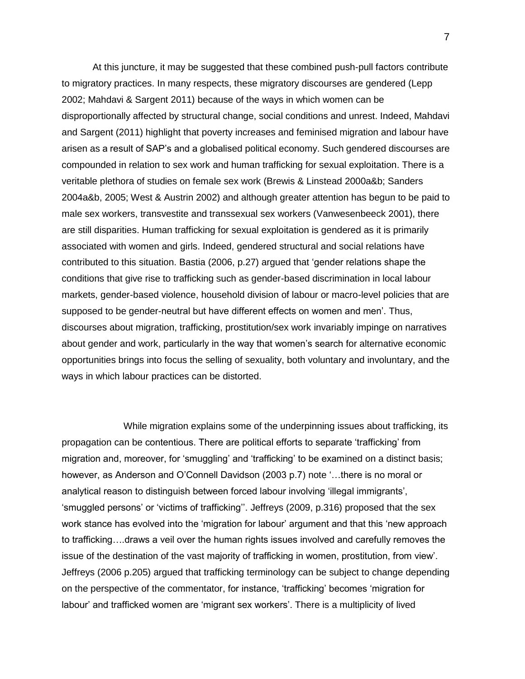At this juncture, it may be suggested that these combined push-pull factors contribute to migratory practices. In many respects, these migratory discourses are gendered (Lepp 2002; Mahdavi & Sargent 2011) because of the ways in which women can be disproportionally affected by structural change, social conditions and unrest. Indeed, Mahdavi and Sargent (2011) highlight that poverty increases and feminised migration and labour have arisen as a result of SAP's and a globalised political economy. Such gendered discourses are compounded in relation to sex work and human trafficking for sexual exploitation. There is a veritable plethora of studies on female sex work (Brewis & Linstead 2000a&b; Sanders 2004a&b, 2005; West & Austrin 2002) and although greater attention has begun to be paid to male sex workers, transvestite and transsexual sex workers (Vanwesenbeeck 2001), there are still disparities. Human trafficking for sexual exploitation is gendered as it is primarily associated with women and girls. Indeed, gendered structural and social relations have contributed to this situation. Bastia (2006, p.27) argued that 'gender relations shape the conditions that give rise to trafficking such as gender-based discrimination in local labour markets, gender-based violence, household division of labour or macro-level policies that are supposed to be gender-neutral but have different effects on women and men'. Thus, discourses about migration, trafficking, prostitution/sex work invariably impinge on narratives about gender and work, particularly in the way that women's search for alternative economic opportunities brings into focus the selling of sexuality, both voluntary and involuntary, and the ways in which labour practices can be distorted.

While migration explains some of the underpinning issues about trafficking, its propagation can be contentious. There are political efforts to separate 'trafficking' from migration and, moreover, for 'smuggling' and 'trafficking' to be examined on a distinct basis; however, as Anderson and O'Connell Davidson (2003 p.7) note '…there is no moral or analytical reason to distinguish between forced labour involving 'illegal immigrants', 'smuggled persons' or 'victims of trafficking''. Jeffreys (2009, p.316) proposed that the sex work stance has evolved into the 'migration for labour' argument and that this 'new approach to trafficking….draws a veil over the human rights issues involved and carefully removes the issue of the destination of the vast majority of trafficking in women, prostitution, from view'. Jeffreys (2006 p.205) argued that trafficking terminology can be subject to change depending on the perspective of the commentator, for instance, 'trafficking' becomes 'migration for labour' and trafficked women are 'migrant sex workers'. There is a multiplicity of lived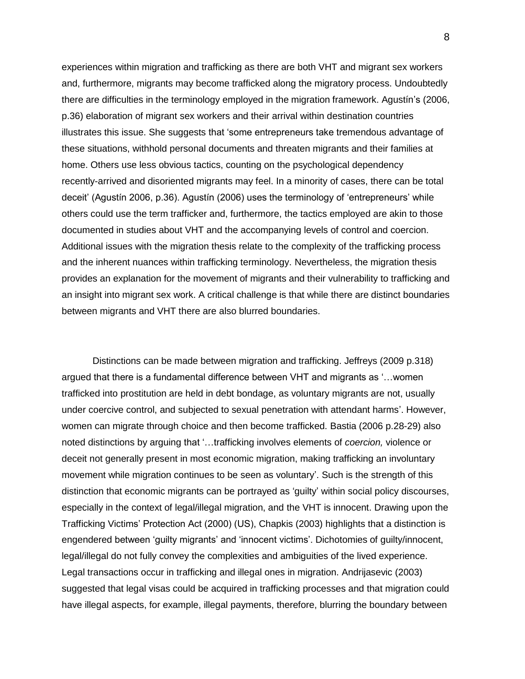experiences within migration and trafficking as there are both VHT and migrant sex workers and, furthermore, migrants may become trafficked along the migratory process. Undoubtedly there are difficulties in the terminology employed in the migration framework. Agustín's (2006, p.36) elaboration of migrant sex workers and their arrival within destination countries illustrates this issue. She suggests that 'some entrepreneurs take tremendous advantage of these situations, withhold personal documents and threaten migrants and their families at home. Others use less obvious tactics, counting on the psychological dependency recently-arrived and disoriented migrants may feel. In a minority of cases, there can be total deceit' (Agustín 2006, p.36). Agustín (2006) uses the terminology of 'entrepreneurs' while others could use the term trafficker and, furthermore, the tactics employed are akin to those documented in studies about VHT and the accompanying levels of control and coercion. Additional issues with the migration thesis relate to the complexity of the trafficking process and the inherent nuances within trafficking terminology. Nevertheless, the migration thesis provides an explanation for the movement of migrants and their vulnerability to trafficking and an insight into migrant sex work. A critical challenge is that while there are distinct boundaries between migrants and VHT there are also blurred boundaries.

Distinctions can be made between migration and trafficking. Jeffreys (2009 p.318) argued that there is a fundamental difference between VHT and migrants as '…women trafficked into prostitution are held in debt bondage, as voluntary migrants are not, usually under coercive control, and subjected to sexual penetration with attendant harms'. However, women can migrate through choice and then become trafficked. Bastia (2006 p.28-29) also noted distinctions by arguing that '…trafficking involves elements of *coercion,* violence or deceit not generally present in most economic migration, making trafficking an involuntary movement while migration continues to be seen as voluntary'. Such is the strength of this distinction that economic migrants can be portrayed as 'guilty' within social policy discourses, especially in the context of legal/illegal migration, and the VHT is innocent. Drawing upon the Trafficking Victims' Protection Act (2000) (US), Chapkis (2003) highlights that a distinction is engendered between 'guilty migrants' and 'innocent victims'. Dichotomies of guilty/innocent, legal/illegal do not fully convey the complexities and ambiguities of the lived experience. Legal transactions occur in trafficking and illegal ones in migration. Andrijasevic (2003) suggested that legal visas could be acquired in trafficking processes and that migration could have illegal aspects, for example, illegal payments, therefore, blurring the boundary between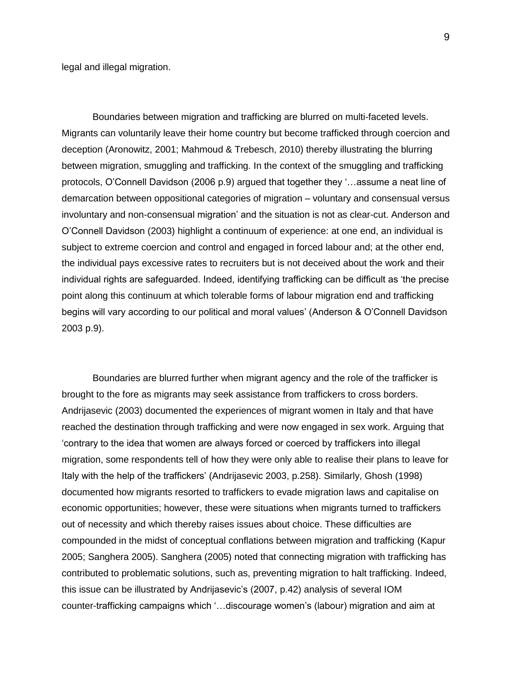legal and illegal migration.

Boundaries between migration and trafficking are blurred on multi-faceted levels. Migrants can voluntarily leave their home country but become trafficked through coercion and deception (Aronowitz, 2001; Mahmoud & Trebesch, 2010) thereby illustrating the blurring between migration, smuggling and trafficking. In the context of the smuggling and trafficking protocols, O'Connell Davidson (2006 p.9) argued that together they '…assume a neat line of demarcation between oppositional categories of migration – voluntary and consensual versus involuntary and non-consensual migration' and the situation is not as clear-cut. Anderson and O'Connell Davidson (2003) highlight a continuum of experience: at one end, an individual is subject to extreme coercion and control and engaged in forced labour and; at the other end, the individual pays excessive rates to recruiters but is not deceived about the work and their individual rights are safeguarded. Indeed, identifying trafficking can be difficult as 'the precise point along this continuum at which tolerable forms of labour migration end and trafficking begins will vary according to our political and moral values' (Anderson & O'Connell Davidson 2003 p.9).

Boundaries are blurred further when migrant agency and the role of the trafficker is brought to the fore as migrants may seek assistance from traffickers to cross borders. Andrijasevic (2003) documented the experiences of migrant women in Italy and that have reached the destination through trafficking and were now engaged in sex work. Arguing that 'contrary to the idea that women are always forced or coerced by traffickers into illegal migration, some respondents tell of how they were only able to realise their plans to leave for Italy with the help of the traffickers' (Andrijasevic 2003, p.258). Similarly, Ghosh (1998) documented how migrants resorted to traffickers to evade migration laws and capitalise on economic opportunities; however, these were situations when migrants turned to traffickers out of necessity and which thereby raises issues about choice. These difficulties are compounded in the midst of conceptual conflations between migration and trafficking (Kapur 2005; Sanghera 2005). Sanghera (2005) noted that connecting migration with trafficking has contributed to problematic solutions, such as, preventing migration to halt trafficking. Indeed, this issue can be illustrated by Andrijasevic's (2007, p.42) analysis of several IOM counter-trafficking campaigns which '…discourage women's (labour) migration and aim at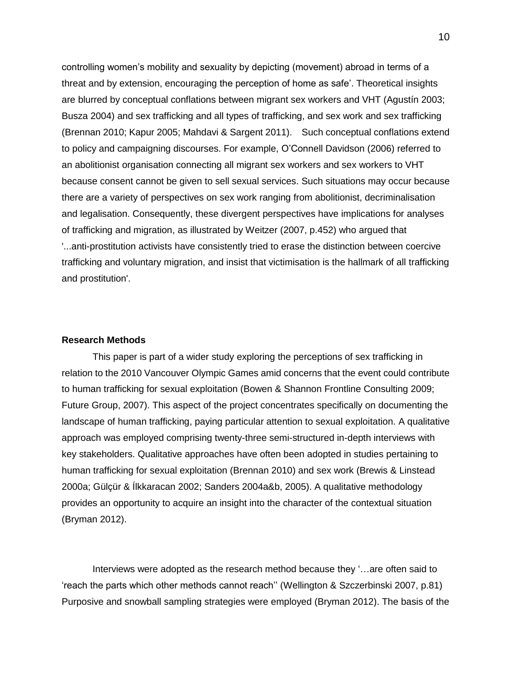controlling women's mobility and sexuality by depicting (movement) abroad in terms of a threat and by extension, encouraging the perception of home as safe'. Theoretical insights are blurred by conceptual conflations between migrant sex workers and VHT (Agustín 2003; Busza 2004) and sex trafficking and all types of trafficking, and sex work and sex trafficking (Brennan 2010; Kapur 2005; Mahdavi & Sargent 2011). Such conceptual conflations extend to policy and campaigning discourses. For example, O'Connell Davidson (2006) referred to an abolitionist organisation connecting all migrant sex workers and sex workers to VHT because consent cannot be given to sell sexual services. Such situations may occur because there are a variety of perspectives on sex work ranging from abolitionist, decriminalisation and legalisation. Consequently, these divergent perspectives have implications for analyses of trafficking and migration, as illustrated by Weitzer (2007, p.452) who argued that '...anti-prostitution activists have consistently tried to erase the distinction between coercive trafficking and voluntary migration, and insist that victimisation is the hallmark of all trafficking and prostitution'.

#### **Research Methods**

This paper is part of a wider study exploring the perceptions of sex trafficking in relation to the 2010 Vancouver Olympic Games amid concerns that the event could contribute to human trafficking for sexual exploitation (Bowen & Shannon Frontline Consulting 2009; Future Group, 2007). This aspect of the project concentrates specifically on documenting the landscape of human trafficking, paying particular attention to sexual exploitation. A qualitative approach was employed comprising twenty-three semi-structured in-depth interviews with key stakeholders. Qualitative approaches have often been adopted in studies pertaining to human trafficking for sexual exploitation (Brennan 2010) and sex work (Brewis & Linstead 2000a; Gülçür & Ílkkaracan 2002; Sanders 2004a&b, 2005). A qualitative methodology provides an opportunity to acquire an insight into the character of the contextual situation (Bryman 2012).

Interviews were adopted as the research method because they '…are often said to 'reach the parts which other methods cannot reach'' (Wellington & Szczerbinski 2007, p.81) Purposive and snowball sampling strategies were employed (Bryman 2012). The basis of the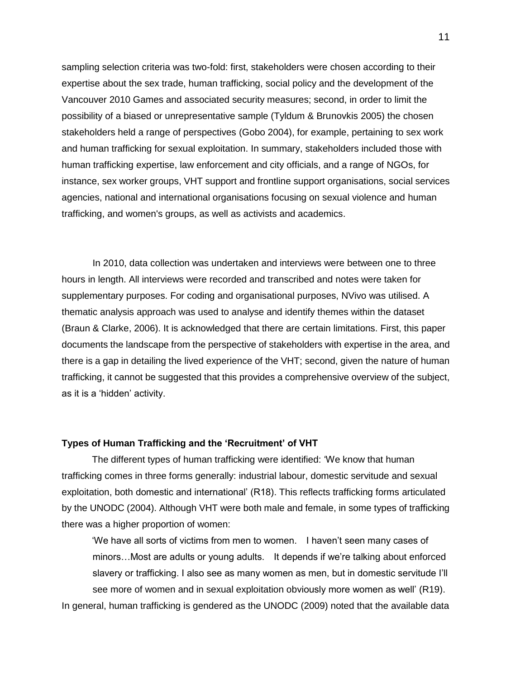sampling selection criteria was two-fold: first, stakeholders were chosen according to their expertise about the sex trade, human trafficking, social policy and the development of the Vancouver 2010 Games and associated security measures; second, in order to limit the possibility of a biased or unrepresentative sample (Tyldum & Brunovkis 2005) the chosen stakeholders held a range of perspectives (Gobo 2004), for example, pertaining to sex work and human trafficking for sexual exploitation. In summary, stakeholders included those with human trafficking expertise, law enforcement and city officials, and a range of NGOs, for instance, sex worker groups, VHT support and frontline support organisations, social services agencies, national and international organisations focusing on sexual violence and human trafficking, and women's groups, as well as activists and academics.

In 2010, data collection was undertaken and interviews were between one to three hours in length. All interviews were recorded and transcribed and notes were taken for supplementary purposes. For coding and organisational purposes, NVivo was utilised. A thematic analysis approach was used to analyse and identify themes within the dataset (Braun & Clarke, 2006). It is acknowledged that there are certain limitations. First, this paper documents the landscape from the perspective of stakeholders with expertise in the area, and there is a gap in detailing the lived experience of the VHT; second, given the nature of human trafficking, it cannot be suggested that this provides a comprehensive overview of the subject, as it is a 'hidden' activity.

#### **Types of Human Trafficking and the 'Recruitment' of VHT**

The different types of human trafficking were identified: 'We know that human trafficking comes in three forms generally: industrial labour, domestic servitude and sexual exploitation, both domestic and international' (R18). This reflects trafficking forms articulated by the UNODC (2004). Although VHT were both male and female, in some types of trafficking there was a higher proportion of women:

'We have all sorts of victims from men to women. I haven't seen many cases of minors…Most are adults or young adults. It depends if we're talking about enforced slavery or trafficking. I also see as many women as men, but in domestic servitude I'll see more of women and in sexual exploitation obviously more women as well' (R19). In general, human trafficking is gendered as the UNODC (2009) noted that the available data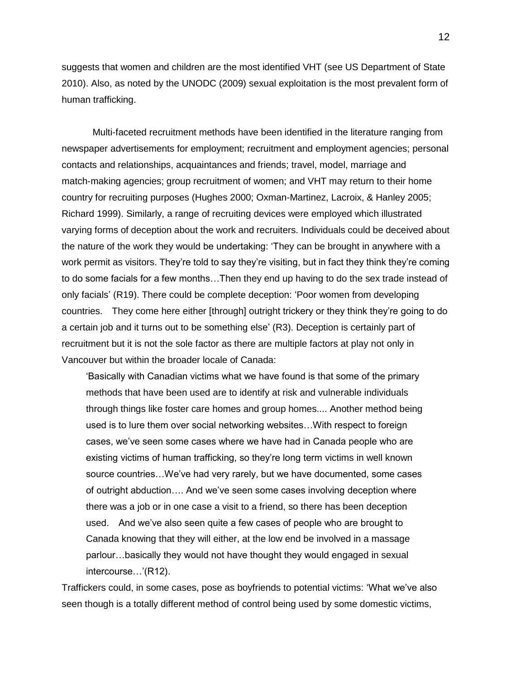suggests that women and children are the most identified VHT (see US Department of State 2010). Also, as noted by the UNODC (2009) sexual exploitation is the most prevalent form of human trafficking.

Multi-faceted recruitment methods have been identified in the literature ranging from newspaper advertisements for employment; recruitment and employment agencies; personal contacts and relationships, acquaintances and friends; travel, model, marriage and match-making agencies; group recruitment of women; and VHT may return to their home country for recruiting purposes (Hughes 2000; Oxman-Martinez, Lacroix, & Hanley 2005; Richard 1999). Similarly, a range of recruiting devices were employed which illustrated varying forms of deception about the work and recruiters. Individuals could be deceived about the nature of the work they would be undertaking: 'They can be brought in anywhere with a work permit as visitors. They're told to say they're visiting, but in fact they think they're coming to do some facials for a few months…Then they end up having to do the sex trade instead of only facials' (R19). There could be complete deception: 'Poor women from developing countries. They come here either [through] outright trickery or they think they're going to do a certain job and it turns out to be something else' (R3). Deception is certainly part of recruitment but it is not the sole factor as there are multiple factors at play not only in Vancouver but within the broader locale of Canada:

'Basically with Canadian victims what we have found is that some of the primary methods that have been used are to identify at risk and vulnerable individuals through things like foster care homes and group homes.... Another method being used is to lure them over social networking websites…With respect to foreign cases, we've seen some cases where we have had in Canada people who are existing victims of human trafficking, so they're long term victims in well known source countries…We've had very rarely, but we have documented, some cases of outright abduction…. And we've seen some cases involving deception where there was a job or in one case a visit to a friend, so there has been deception used. And we've also seen quite a few cases of people who are brought to Canada knowing that they will either, at the low end be involved in a massage parlour…basically they would not have thought they would engaged in sexual intercourse…'(R12).

Traffickers could, in some cases, pose as boyfriends to potential victims: 'What we've also seen though is a totally different method of control being used by some domestic victims,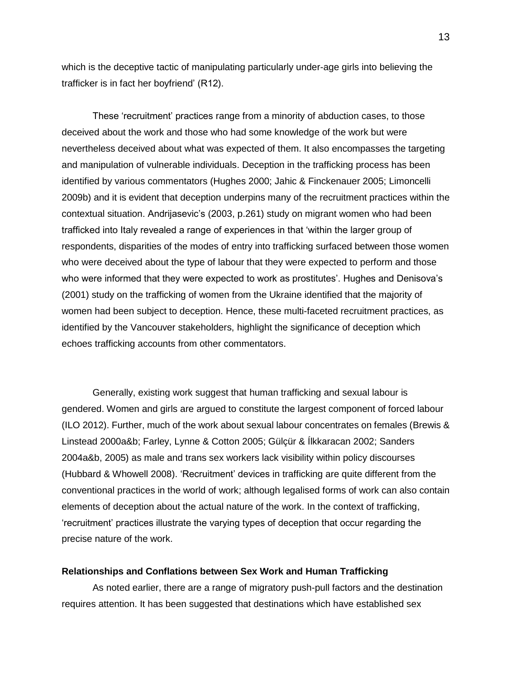which is the deceptive tactic of manipulating particularly under-age girls into believing the trafficker is in fact her boyfriend' (R12).

These 'recruitment' practices range from a minority of abduction cases, to those deceived about the work and those who had some knowledge of the work but were nevertheless deceived about what was expected of them. It also encompasses the targeting and manipulation of vulnerable individuals. Deception in the trafficking process has been identified by various commentators (Hughes 2000; Jahic & Finckenauer 2005; Limoncelli 2009b) and it is evident that deception underpins many of the recruitment practices within the contextual situation. Andrijasevic's (2003, p.261) study on migrant women who had been trafficked into Italy revealed a range of experiences in that 'within the larger group of respondents, disparities of the modes of entry into trafficking surfaced between those women who were deceived about the type of labour that they were expected to perform and those who were informed that they were expected to work as prostitutes'. Hughes and Denisova's (2001) study on the trafficking of women from the Ukraine identified that the majority of women had been subject to deception. Hence, these multi-faceted recruitment practices, as identified by the Vancouver stakeholders, highlight the significance of deception which echoes trafficking accounts from other commentators.

Generally, existing work suggest that human trafficking and sexual labour is gendered. Women and girls are argued to constitute the largest component of forced labour (ILO 2012). Further, much of the work about sexual labour concentrates on females (Brewis & Linstead 2000a&b; Farley, Lynne & Cotton 2005; Gülçür & Ílkkaracan 2002; Sanders 2004a&b, 2005) as male and trans sex workers lack visibility within policy discourses (Hubbard & Whowell 2008). 'Recruitment' devices in trafficking are quite different from the conventional practices in the world of work; although legalised forms of work can also contain elements of deception about the actual nature of the work. In the context of trafficking, 'recruitment' practices illustrate the varying types of deception that occur regarding the precise nature of the work.

#### **Relationships and Conflations between Sex Work and Human Trafficking**

As noted earlier, there are a range of migratory push-pull factors and the destination requires attention. It has been suggested that destinations which have established sex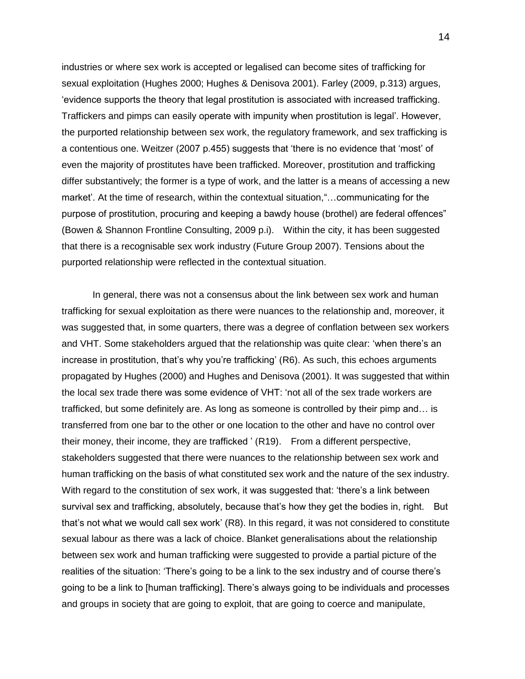industries or where sex work is accepted or legalised can become sites of trafficking for sexual exploitation (Hughes 2000; Hughes & Denisova 2001). Farley (2009, p.313) argues, 'evidence supports the theory that legal prostitution is associated with increased trafficking. Traffickers and pimps can easily operate with impunity when prostitution is legal'. However, the purported relationship between sex work, the regulatory framework, and sex trafficking is a contentious one. Weitzer (2007 p.455) suggests that 'there is no evidence that 'most' of even the majority of prostitutes have been trafficked. Moreover, prostitution and trafficking differ substantively; the former is a type of work, and the latter is a means of accessing a new market'. At the time of research, within the contextual situation,"…communicating for the purpose of prostitution, procuring and keeping a bawdy house (brothel) are federal offences" (Bowen & Shannon Frontline Consulting, 2009 p.i). Within the city, it has been suggested that there is a recognisable sex work industry (Future Group 2007). Tensions about the purported relationship were reflected in the contextual situation.

In general, there was not a consensus about the link between sex work and human trafficking for sexual exploitation as there were nuances to the relationship and, moreover, it was suggested that, in some quarters, there was a degree of conflation between sex workers and VHT. Some stakeholders argued that the relationship was quite clear: 'when there's an increase in prostitution, that's why you're trafficking' (R6). As such, this echoes arguments propagated by Hughes (2000) and Hughes and Denisova (2001). It was suggested that within the local sex trade there was some evidence of VHT: 'not all of the sex trade workers are trafficked, but some definitely are. As long as someone is controlled by their pimp and… is transferred from one bar to the other or one location to the other and have no control over their money, their income, they are trafficked ' (R19). From a different perspective, stakeholders suggested that there were nuances to the relationship between sex work and human trafficking on the basis of what constituted sex work and the nature of the sex industry. With regard to the constitution of sex work, it was suggested that: 'there's a link between survival sex and trafficking, absolutely, because that's how they get the bodies in, right. But that's not what we would call sex work' (R8). In this regard, it was not considered to constitute sexual labour as there was a lack of choice. Blanket generalisations about the relationship between sex work and human trafficking were suggested to provide a partial picture of the realities of the situation: 'There's going to be a link to the sex industry and of course there's going to be a link to [human trafficking]. There's always going to be individuals and processes and groups in society that are going to exploit, that are going to coerce and manipulate,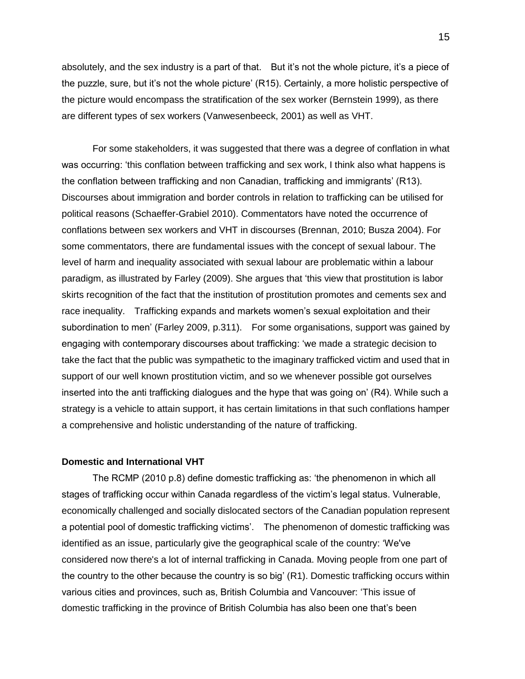absolutely, and the sex industry is a part of that. But it's not the whole picture, it's a piece of the puzzle, sure, but it's not the whole picture' (R15). Certainly, a more holistic perspective of the picture would encompass the stratification of the sex worker (Bernstein 1999), as there are different types of sex workers (Vanwesenbeeck, 2001) as well as VHT.

For some stakeholders, it was suggested that there was a degree of conflation in what was occurring: 'this conflation between trafficking and sex work, I think also what happens is the conflation between trafficking and non Canadian, trafficking and immigrants' (R13). Discourses about immigration and border controls in relation to trafficking can be utilised for political reasons (Schaeffer-Grabiel 2010). Commentators have noted the occurrence of conflations between sex workers and VHT in discourses (Brennan, 2010; Busza 2004). For some commentators, there are fundamental issues with the concept of sexual labour. The level of harm and inequality associated with sexual labour are problematic within a labour paradigm, as illustrated by Farley (2009). She argues that 'this view that prostitution is labor skirts recognition of the fact that the institution of prostitution promotes and cements sex and race inequality. Trafficking expands and markets women's sexual exploitation and their subordination to men' (Farley 2009, p.311). For some organisations, support was gained by engaging with contemporary discourses about trafficking: 'we made a strategic decision to take the fact that the public was sympathetic to the imaginary trafficked victim and used that in support of our well known prostitution victim, and so we whenever possible got ourselves inserted into the anti trafficking dialogues and the hype that was going on' (R4). While such a strategy is a vehicle to attain support, it has certain limitations in that such conflations hamper a comprehensive and holistic understanding of the nature of trafficking.

#### **Domestic and International VHT**

The RCMP (2010 p.8) define domestic trafficking as: 'the phenomenon in which all stages of trafficking occur within Canada regardless of the victim's legal status. Vulnerable, economically challenged and socially dislocated sectors of the Canadian population represent a potential pool of domestic trafficking victims'. The phenomenon of domestic trafficking was identified as an issue, particularly give the geographical scale of the country: 'We've considered now there's a lot of internal trafficking in Canada. Moving people from one part of the country to the other because the country is so big' (R1). Domestic trafficking occurs within various cities and provinces, such as, British Columbia and Vancouver: 'This issue of domestic trafficking in the province of British Columbia has also been one that's been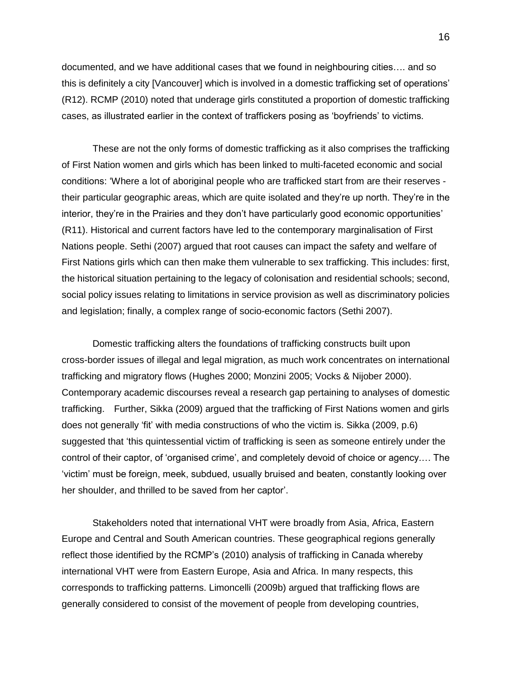documented, and we have additional cases that we found in neighbouring cities…. and so this is definitely a city [Vancouver] which is involved in a domestic trafficking set of operations' (R12). RCMP (2010) noted that underage girls constituted a proportion of domestic trafficking cases, as illustrated earlier in the context of traffickers posing as 'boyfriends' to victims.

These are not the only forms of domestic trafficking as it also comprises the trafficking of First Nation women and girls which has been linked to multi-faceted economic and social conditions: 'Where a lot of aboriginal people who are trafficked start from are their reserves their particular geographic areas, which are quite isolated and they're up north. They're in the interior, they're in the Prairies and they don't have particularly good economic opportunities' (R11). Historical and current factors have led to the contemporary marginalisation of First Nations people. Sethi (2007) argued that root causes can impact the safety and welfare of First Nations girls which can then make them vulnerable to sex trafficking. This includes: first, the historical situation pertaining to the legacy of colonisation and residential schools; second, social policy issues relating to limitations in service provision as well as discriminatory policies and legislation; finally, a complex range of socio-economic factors (Sethi 2007).

Domestic trafficking alters the foundations of trafficking constructs built upon cross-border issues of illegal and legal migration, as much work concentrates on international trafficking and migratory flows (Hughes 2000; Monzini 2005; Vocks & Nijober 2000). Contemporary academic discourses reveal a research gap pertaining to analyses of domestic trafficking. Further, Sikka (2009) argued that the trafficking of First Nations women and girls does not generally 'fit' with media constructions of who the victim is. Sikka (2009, p.6) suggested that 'this quintessential victim of trafficking is seen as someone entirely under the control of their captor, of 'organised crime', and completely devoid of choice or agency.… The 'victim' must be foreign, meek, subdued, usually bruised and beaten, constantly looking over her shoulder, and thrilled to be saved from her captor'.

Stakeholders noted that international VHT were broadly from Asia, Africa, Eastern Europe and Central and South American countries. These geographical regions generally reflect those identified by the RCMP's (2010) analysis of trafficking in Canada whereby international VHT were from Eastern Europe, Asia and Africa. In many respects, this corresponds to trafficking patterns. Limoncelli (2009b) argued that trafficking flows are generally considered to consist of the movement of people from developing countries,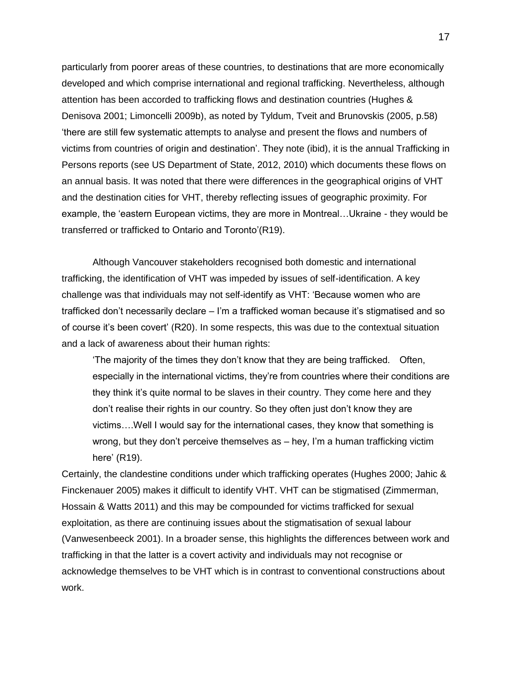particularly from poorer areas of these countries, to destinations that are more economically developed and which comprise international and regional trafficking. Nevertheless, although attention has been accorded to trafficking flows and destination countries (Hughes & Denisova 2001; Limoncelli 2009b), as noted by Tyldum, Tveit and Brunovskis (2005, p.58) 'there are still few systematic attempts to analyse and present the flows and numbers of victims from countries of origin and destination'. They note (ibid), it is the annual Trafficking in Persons reports (see US Department of State, 2012, 2010) which documents these flows on an annual basis. It was noted that there were differences in the geographical origins of VHT and the destination cities for VHT, thereby reflecting issues of geographic proximity. For example, the 'eastern European victims, they are more in Montreal…Ukraine - they would be transferred or trafficked to Ontario and Toronto'(R19).

Although Vancouver stakeholders recognised both domestic and international trafficking, the identification of VHT was impeded by issues of self-identification. A key challenge was that individuals may not self-identify as VHT: 'Because women who are trafficked don't necessarily declare – I'm a trafficked woman because it's stigmatised and so of course it's been covert' (R20). In some respects, this was due to the contextual situation and a lack of awareness about their human rights:

'The majority of the times they don't know that they are being trafficked. Often, especially in the international victims, they're from countries where their conditions are they think it's quite normal to be slaves in their country. They come here and they don't realise their rights in our country. So they often just don't know they are victims….Well I would say for the international cases, they know that something is wrong, but they don't perceive themselves as – hey, I'm a human trafficking victim here' (R19).

Certainly, the clandestine conditions under which trafficking operates (Hughes 2000; Jahic & Finckenauer 2005) makes it difficult to identify VHT. VHT can be stigmatised (Zimmerman, Hossain & Watts 2011) and this may be compounded for victims trafficked for sexual exploitation, as there are continuing issues about the stigmatisation of sexual labour (Vanwesenbeeck 2001). In a broader sense, this highlights the differences between work and trafficking in that the latter is a covert activity and individuals may not recognise or acknowledge themselves to be VHT which is in contrast to conventional constructions about work.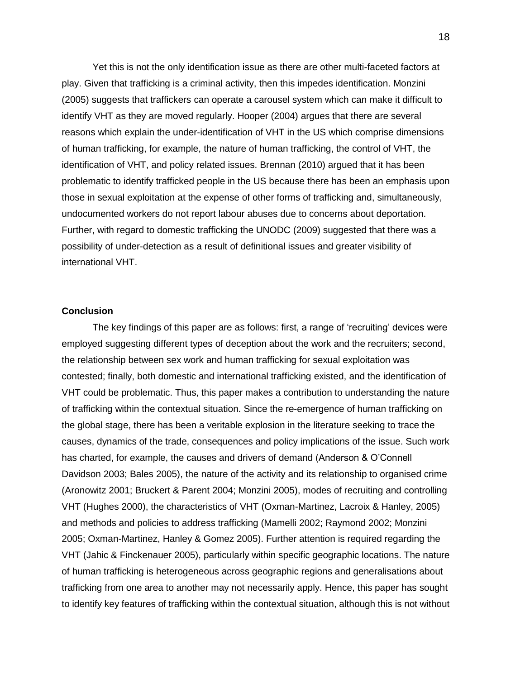Yet this is not the only identification issue as there are other multi-faceted factors at play. Given that trafficking is a criminal activity, then this impedes identification. Monzini (2005) suggests that traffickers can operate a carousel system which can make it difficult to identify VHT as they are moved regularly. Hooper (2004) argues that there are several reasons which explain the under-identification of VHT in the US which comprise dimensions of human trafficking, for example, the nature of human trafficking, the control of VHT, the identification of VHT, and policy related issues. Brennan (2010) argued that it has been problematic to identify trafficked people in the US because there has been an emphasis upon those in sexual exploitation at the expense of other forms of trafficking and, simultaneously, undocumented workers do not report labour abuses due to concerns about deportation. Further, with regard to domestic trafficking the UNODC (2009) suggested that there was a possibility of under-detection as a result of definitional issues and greater visibility of international VHT.

#### **Conclusion**

The key findings of this paper are as follows: first, a range of 'recruiting' devices were employed suggesting different types of deception about the work and the recruiters; second, the relationship between sex work and human trafficking for sexual exploitation was contested; finally, both domestic and international trafficking existed, and the identification of VHT could be problematic. Thus, this paper makes a contribution to understanding the nature of trafficking within the contextual situation. Since the re-emergence of human trafficking on the global stage, there has been a veritable explosion in the literature seeking to trace the causes, dynamics of the trade, consequences and policy implications of the issue. Such work has charted, for example, the causes and drivers of demand (Anderson & O'Connell Davidson 2003; Bales 2005), the nature of the activity and its relationship to organised crime (Aronowitz 2001; Bruckert & Parent 2004; Monzini 2005), modes of recruiting and controlling VHT (Hughes 2000), the characteristics of VHT (Oxman-Martinez, Lacroix & Hanley, 2005) and methods and policies to address trafficking (Mamelli 2002; Raymond 2002; Monzini 2005; Oxman-Martinez, Hanley & Gomez 2005). Further attention is required regarding the VHT (Jahic & Finckenauer 2005), particularly within specific geographic locations. The nature of human trafficking is heterogeneous across geographic regions and generalisations about trafficking from one area to another may not necessarily apply. Hence, this paper has sought to identify key features of trafficking within the contextual situation, although this is not without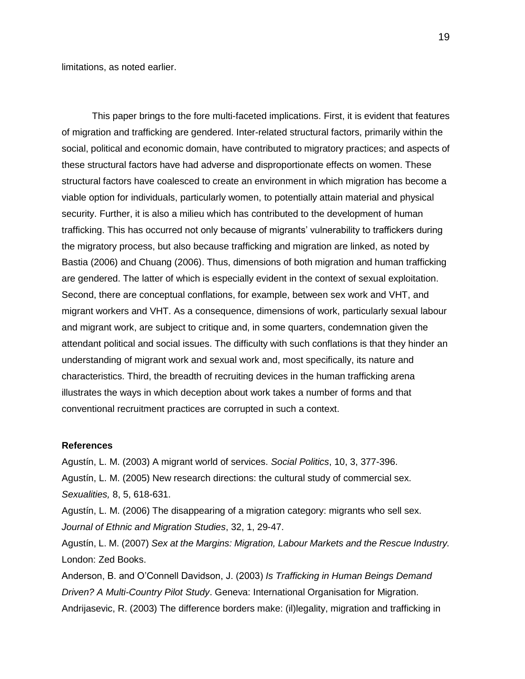limitations, as noted earlier.

This paper brings to the fore multi-faceted implications. First, it is evident that features of migration and trafficking are gendered. Inter-related structural factors, primarily within the social, political and economic domain, have contributed to migratory practices; and aspects of these structural factors have had adverse and disproportionate effects on women. These structural factors have coalesced to create an environment in which migration has become a viable option for individuals, particularly women, to potentially attain material and physical security. Further, it is also a milieu which has contributed to the development of human trafficking. This has occurred not only because of migrants' vulnerability to traffickers during the migratory process, but also because trafficking and migration are linked, as noted by Bastia (2006) and Chuang (2006). Thus, dimensions of both migration and human trafficking are gendered. The latter of which is especially evident in the context of sexual exploitation. Second, there are conceptual conflations, for example, between sex work and VHT, and migrant workers and VHT. As a consequence, dimensions of work, particularly sexual labour and migrant work, are subject to critique and, in some quarters, condemnation given the attendant political and social issues. The difficulty with such conflations is that they hinder an understanding of migrant work and sexual work and, most specifically, its nature and characteristics. Third, the breadth of recruiting devices in the human trafficking arena illustrates the ways in which deception about work takes a number of forms and that conventional recruitment practices are corrupted in such a context.

#### **References**

Agustín, L. M. (2003) A migrant world of services. *Social Politics*, 10, 3, 377-396. Agustín, L. M. (2005) New research directions: the cultural study of commercial sex.

*Sexualities,* 8, 5, 618-631.

Agustín, L. M. (2006) The disappearing of a migration category: migrants who sell sex. *Journal of Ethnic and Migration Studies*, 32, 1, 29-47.

Agustín, L. M. (2007) *Sex at the Margins: Migration, Labour Markets and the Rescue Industry.* London: Zed Books.

Anderson, B. and O'Connell Davidson, J. (2003) *Is Trafficking in Human Beings Demand Driven? A Multi-Country Pilot Study*. Geneva: International Organisation for Migration. Andrijasevic, R. (2003) The difference borders make: (il)legality, migration and trafficking in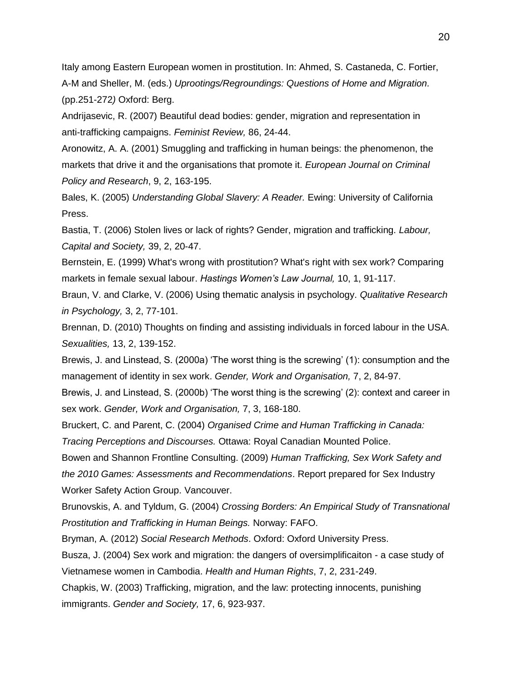Italy among Eastern European women in prostitution. In: Ahmed, S. Castaneda, C. Fortier, A-M and Sheller, M. (eds.) *Uprootings/Regroundings: Questions of Home and Migration.*  (pp.251-272*)* Oxford: Berg.

Andrijasevic, R. (2007) Beautiful dead bodies: gender, migration and representation in anti-trafficking campaigns. *Feminist Review,* 86, 24-44.

Aronowitz, A. A. (2001) Smuggling and trafficking in human beings: the phenomenon, the markets that drive it and the organisations that promote it. *European Journal on Criminal Policy and Research*, 9, 2, 163-195.

Bales, K. (2005) *Understanding Global Slavery: A Reader.* Ewing: University of California Press.

Bastia, T. (2006) Stolen lives or lack of rights? Gender, migration and trafficking. *Labour, Capital and Society,* 39, 2, 20-47.

Bernstein, E. (1999) What's wrong with prostitution? What's right with sex work? Comparing markets in female sexual labour. *Hastings Women's Law Journal,* 10, 1, 91-117.

Braun, V. and Clarke, V. (2006) Using thematic analysis in psychology. *Qualitative Research in Psychology,* 3, 2, 77-101.

Brennan, D. (2010) Thoughts on finding and assisting individuals in forced labour in the USA. *Sexualities,* 13, 2, 139-152.

Brewis, J. and Linstead, S. (2000a) 'The worst thing is the screwing' (1): consumption and the management of identity in sex work. *Gender, Work and Organisation,* 7, 2, 84-97.

Brewis, J. and Linstead, S. (2000b) 'The worst thing is the screwing' (2): context and career in sex work. *Gender, Work and Organisation,* 7, 3, 168-180.

Bruckert, C. and Parent, C. (2004) *Organised Crime and Human Trafficking in Canada:* 

*Tracing Perceptions and Discourses.* Ottawa: Royal Canadian Mounted Police.

Bowen and Shannon Frontline Consulting. (2009) *Human Trafficking, Sex Work Safety and the 2010 Games: Assessments and Recommendations*. Report prepared for Sex Industry Worker Safety Action Group. Vancouver.

Brunovskis, A. and Tyldum, G. (2004) *Crossing Borders: An Empirical Study of Transnational Prostitution and Trafficking in Human Beings.* Norway: FAFO.

Bryman, A. (2012) *Social Research Methods*. Oxford: Oxford University Press.

Busza, J. (2004) Sex work and migration: the dangers of oversimplificaiton - a case study of Vietnamese women in Cambodia. *Health and Human Rights*, 7, 2, 231-249.

Chapkis, W. (2003) Trafficking, migration, and the law: protecting innocents, punishing immigrants. *Gender and Society,* 17, 6, 923-937.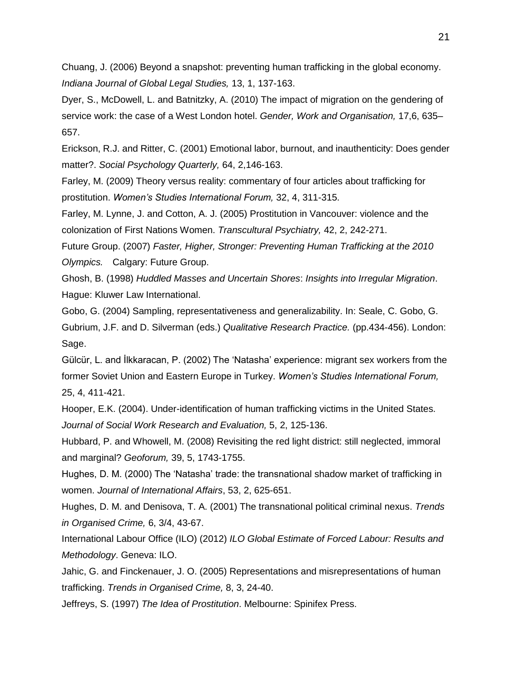Chuang, J. (2006) Beyond a snapshot: preventing human trafficking in the global economy. *Indiana Journal of Global Legal Studies,* 13, 1, 137-163.

Dyer, S., McDowell, L. and Batnitzky, A. (2010) The impact of migration on the gendering of service work: the case of a West London hotel. *Gender, Work and Organisation,* 17,6, 635– 657.

Erickson, R.J. and Ritter, C. (2001) Emotional labor, burnout, and inauthenticity: Does gender matter?. *Social Psychology Quarterly,* [64, 2,1](http://search.proquest.com/socscijournals/indexingvolumeissuelinkhandler/42344/Social+Psychology+Quarterly/02001Y06Y01$23Jun+2001$3b++Vol.+64+$282$29/64/2?accountid=12269)46-163.

Farley, M. (2009) Theory versus reality: commentary of four articles about trafficking for prostitution. *Women's Studies International Forum,* 32, 4, 311-315.

Farley, M. Lynne, J. and Cotton, A. J. (2005) Prostitution in Vancouver: violence and the colonization of First Nations Women. *Transcultural Psychiatry,* 42, 2, 242-271.

Future Group. (2007) *Faster, Higher, Stronger: Preventing Human Trafficking at the 2010 Olympics.* Calgary: Future Group.

Ghosh, B. (1998) *Huddled Masses and Uncertain Shores*: *Insights into Irregular Migration*. Hague: Kluwer Law International.

Gobo, G. (2004) Sampling, representativeness and generalizability. In: Seale, C. Gobo, G. Gubrium, J.F. and D. Silverman (eds.) *Qualitative Research Practice.* (pp.434-456). London: Sage.

Gülcür, L. and İlkkaracan, P. (2002) The 'Natasha' experience: migrant sex workers from the former Soviet Union and Eastern Europe in Turkey. *Women's Studies International Forum,*  25, 4, 411-421.

Hooper, E.K. (2004). Under-identification of human trafficking victims in the United States. *Journal of Social Work Research and Evaluation,* 5, 2, 125-136.

Hubbard, P. and Whowell, M. (2008) Revisiting the red light district: still neglected, immoral and marginal? *Geoforum,* 39, 5, 1743-1755.

Hughes, D. M. (2000) The 'Natasha' trade: the transnational shadow market of trafficking in women. *Journal of International Affairs*, 53, 2, 625-651.

Hughes, D. M. and Denisova, T. A. (2001) The transnational political criminal nexus. *Trends in Organised Crime,* 6, 3/4, 43-67.

International Labour Office (ILO) (2012) *ILO Global Estimate of Forced Labour: Results and Methodology*. Geneva: ILO.

Jahic, G. and Finckenauer, J. O. (2005) Representations and misrepresentations of human trafficking. *Trends in Organised Crime,* 8, 3, 24-40.

Jeffreys, S. (1997) *The Idea of Prostitution*. Melbourne: Spinifex Press.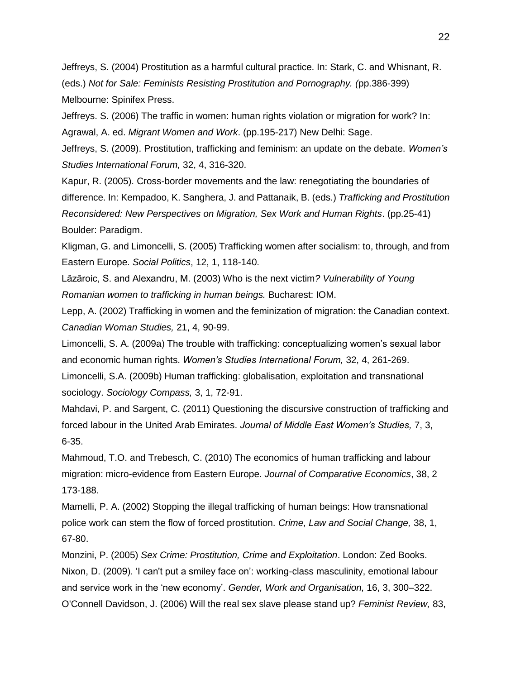Jeffreys, S. (2004) Prostitution as a harmful cultural practice. In: Stark, C. and Whisnant, R. (eds.) *Not for Sale: Feminists Resisting Prostitution and Pornography. (*pp.386-399) Melbourne: Spinifex Press.

Jeffreys. S. (2006) The traffic in women: human rights violation or migration for work? In:

Agrawal, A. ed. *Migrant Women and Work*. (pp.195-217) New Delhi: Sage.

Jeffreys, S. (2009). Prostitution, trafficking and feminism: an update on the debate. *Women's Studies International Forum,* 32, 4, 316-320.

Kapur, R. (2005). Cross-border movements and the law: renegotiating the boundaries of difference. In: Kempadoo, K. Sanghera, J. and Pattanaik, B. (eds.) *Trafficking and Prostitution Reconsidered: New Perspectives on Migration, Sex Work and Human Rights*. (pp.25-41) Boulder: Paradigm.

Kligman, G. and Limoncelli, S. (2005) Trafficking women after socialism: to, through, and from Eastern Europe. *Social Politics*, 12, 1, 118-140.

Lăzăroic, S. and Alexandru, M. (2003) Who is the next victim*? Vulnerability of Young Romanian women to trafficking in human beings.* Bucharest: IOM.

Lepp, A. (2002) Trafficking in women and the feminization of migration: the Canadian context. *Canadian Woman Studies,* 21, 4, 90-99.

Limoncelli, S. A. (2009a) The trouble with trafficking: conceptualizing women's sexual labor and economic human rights. *Women's Studies International Forum,* 32, 4, 261-269. Limoncelli, S.A. (2009b) Human trafficking: globalisation, exploitation and transnational sociology. *Sociology Compass,* 3, 1, 72-91.

Mahdavi, P. and Sargent, C. (2011) Questioning the discursive construction of trafficking and forced labour in the United Arab Emirates. *Journal of Middle East Women's Studies,* 7, 3, 6-35.

Mahmoud, T.O. and Trebesch, C. (2010) The economics of human trafficking and labour migration: micro-evidence from Eastern Europe. *Journal of Comparative Economics*, 38, 2 173-188.

Mamelli, P. A. (2002) Stopping the illegal trafficking of human beings: How transnational police work can stem the flow of forced prostitution. *Crime, Law and Social Change,* 38, 1, 67-80.

Monzini, P. (2005) *Sex Crime: Prostitution, Crime and Exploitation*. London: Zed Books. Nixon, D. (2009). 'I can't put a smiley face on': working-class masculinity, emotional labour and service work in the 'new economy'. *Gender, Work and Organisation,* 16, 3, 300–322. O'Connell Davidson, J. (2006) Will the real sex slave please stand up? *Feminist Review,* 83,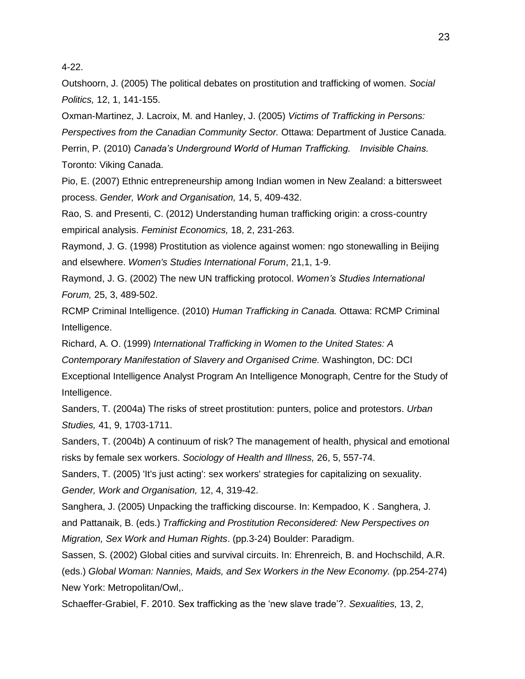4-22.

Outshoorn, J. (2005) The political debates on prostitution and trafficking of women. *Social Politics,* 12, 1, 141-155.

Oxman-Martinez, J. Lacroix, M. and Hanley, J. (2005) *Victims of Trafficking in Persons: Perspectives from the Canadian Community Sector.* Ottawa: Department of Justice Canada. Perrin, P. (2010) *Canada's Underground World of Human Trafficking. Invisible Chains.*  Toronto: Viking Canada.

Pio, E. (2007) Ethnic entrepreneurship among Indian women in New Zealand: a bittersweet process. *Gender, Work and Organisation,* 14, 5, 409-432.

Rao, S. and Presenti, C. (2012) Understanding human trafficking origin: a cross-country empirical analysis. *Feminist Economics,* 18, 2, 231-263.

Raymond, J. G. (1998) Prostitution as violence against women: ngo stonewalling in Beijing and elsewhere. *Women's Studies International Forum*, 21,1, 1-9.

Raymond, J. G. (2002) The new UN trafficking protocol. *Women's Studies International Forum,* 25, 3, 489-502.

RCMP Criminal Intelligence. (2010) *Human Trafficking in Canada.* Ottawa: RCMP Criminal Intelligence.

Richard, A. O. (1999) *International Trafficking in Women to the United States: A Contemporary Manifestation of Slavery and Organised Crime.* Washington, DC: DCI Exceptional Intelligence Analyst Program An Intelligence Monograph, Centre for the Study of Intelligence.

Sanders, T. (2004a) The risks of street prostitution: punters, police and protestors. *Urban Studies,* 41, 9, 1703-1711.

Sanders, T. (2004b) A continuum of risk? The management of health, physical and emotional risks by female sex workers. *Sociology of Health and Illness,* 26, 5, 557-74.

Sanders, T. (2005) 'It's just acting': sex workers' strategies for capitalizing on sexuality. *Gender, Work and Organisation,* 12, 4, 319-42.

Sanghera, J. (2005) Unpacking the trafficking discourse. In: Kempadoo, K . Sanghera, J. and Pattanaik, B. (eds.) *Trafficking and Prostitution Reconsidered: New Perspectives on Migration, Sex Work and Human Rights*. (pp.3-24) Boulder: Paradigm.

Sassen, S. (2002) Global cities and survival circuits. In: Ehrenreich, B. and Hochschild, A.R. (eds.) *Global Woman: Nannies, Maids, and Sex Workers in the New Economy. (*pp.254-274) New York: Metropolitan/Owl,.

Schaeffer-Grabiel, F. 2010. Sex trafficking as the 'new slave trade'?. *Sexualities,* 13, 2,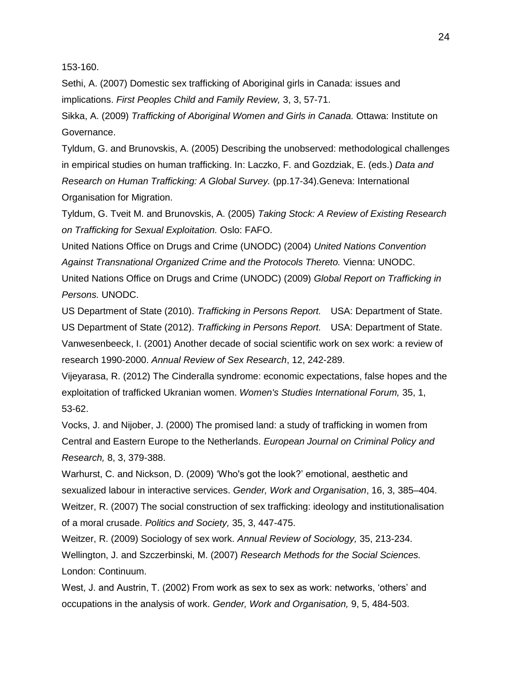153-160.

Sethi, A. (2007) Domestic sex trafficking of Aboriginal girls in Canada: issues and implications. *First Peoples Child and Family Review,* 3, 3, 57-71.

Sikka, A. (2009) *Trafficking of Aboriginal Women and Girls in Canada.* Ottawa: Institute on Governance.

Tyldum, G. and Brunovskis, A. (2005) Describing the unobserved: methodological challenges in empirical studies on human trafficking. In: Laczko, F. and Gozdziak, E. (eds.) *Data and Research on Human Trafficking: A Global Survey.* (pp.17-34).Geneva: International Organisation for Migration.

Tyldum, G. Tveit M. and Brunovskis, A. (2005) *Taking Stock: A Review of Existing Research on Trafficking for Sexual Exploitation.* Oslo: FAFO.

United Nations Office on Drugs and Crime (UNODC) (2004) *United Nations Convention Against Transnational Organized Crime and the Protocols Thereto.* Vienna: UNODC. United Nations Office on Drugs and Crime (UNODC) (2009) *Global Report on Trafficking in Persons.* UNODC.

US Department of State (2010). *Trafficking in Persons Report.* USA: Department of State. US Department of State (2012). *Trafficking in Persons Report.* USA: Department of State. Vanwesenbeeck, I. (2001) Another decade of social scientific work on sex work: a review of research 1990-2000. *Annual Review of Sex Research*, 12, 242-289.

Vijeyarasa, R. (2012) The Cinderalla syndrome: economic expectations, false hopes and the exploitation of trafficked Ukranian women. *Women's Studies International Forum,* 35, 1, 53-62.

Vocks, J. and Nijober, J. (2000) The promised land: a study of trafficking in women from Central and Eastern Europe to the Netherlands. *European Journal on Criminal Policy and Research,* 8, 3, 379-388.

Warhurst, C. and Nickson, D. (2009) 'Who's got the look?' emotional, aesthetic and sexualized labour in interactive services. *Gender, Work and Organisation*, 16, 3, 385–404. Weitzer, R. (2007) The social construction of sex trafficking: ideology and institutionalisation of a moral crusade. *Politics and Society,* 35, 3, 447-475.

Weitzer, R. (2009) Sociology of sex work. *Annual Review of Sociology,* 35, 213-234. Wellington, J. and Szczerbinski, M. (2007) *Research Methods for the Social Sciences.*  London: Continuum.

West, J. and Austrin, T. (2002) From work as sex to sex as work: networks, 'others' and occupations in the analysis of work. *Gender, Work and Organisation,* 9, 5, 484-503.